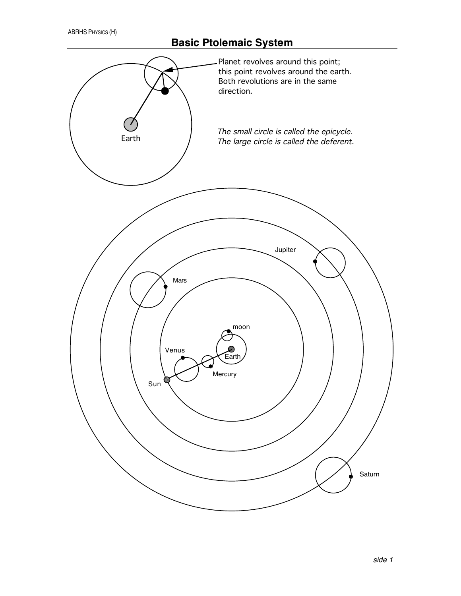## **Basic Ptolemaic System**